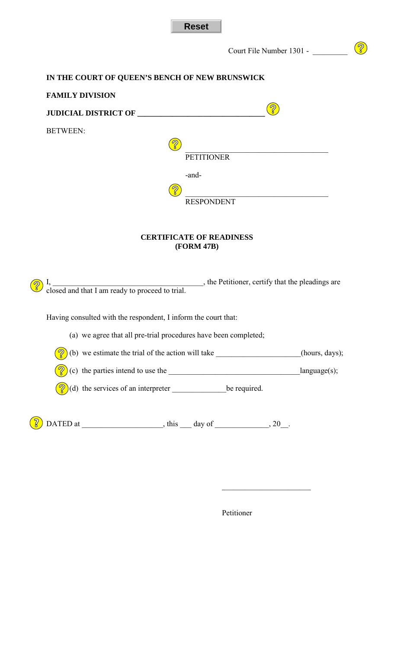

Court File Number 1301 - \_\_\_\_\_\_\_\_\_

## $\circled{?}$

## **IN THE COURT OF QUEEN'S BENCH OF NEW BRUNSWICK**

| <b>FAMILY DIVISION</b>                                                           |                   |                |  |
|----------------------------------------------------------------------------------|-------------------|----------------|--|
|                                                                                  |                   |                |  |
| <b>BETWEEN:</b>                                                                  |                   |                |  |
|                                                                                  |                   |                |  |
|                                                                                  | <b>PETITIONER</b> |                |  |
|                                                                                  | -and-             |                |  |
|                                                                                  |                   |                |  |
|                                                                                  | <b>RESPONDENT</b> |                |  |
|                                                                                  |                   |                |  |
| <b>CERTIFICATE OF READINESS</b><br>(FORM 47B)                                    |                   |                |  |
|                                                                                  |                   |                |  |
| Having consulted with the respondent, I inform the court that:                   |                   |                |  |
| (a) we agree that all pre-trial procedures have been completed;                  |                   |                |  |
| (b) we estimate the trial of the action will take ______________________________ |                   | (hours, days); |  |

(c) the parties intend to use the \_\_\_\_\_\_\_\_\_\_\_\_\_\_\_\_\_\_\_\_\_\_\_\_\_\_\_\_\_\_\_\_\_\_language(s);

(d) the services of an interpreter \_\_\_\_\_\_\_\_\_\_\_\_\_\_be required.

 $\circled{?}$  DATED at \_\_\_\_\_\_\_\_\_\_\_\_\_\_\_, this \_\_\_ day of \_\_\_\_\_\_\_\_\_, 20\_\_.

Petitioner

\_\_\_\_\_\_\_\_\_\_\_\_\_\_\_\_\_\_\_\_\_\_\_